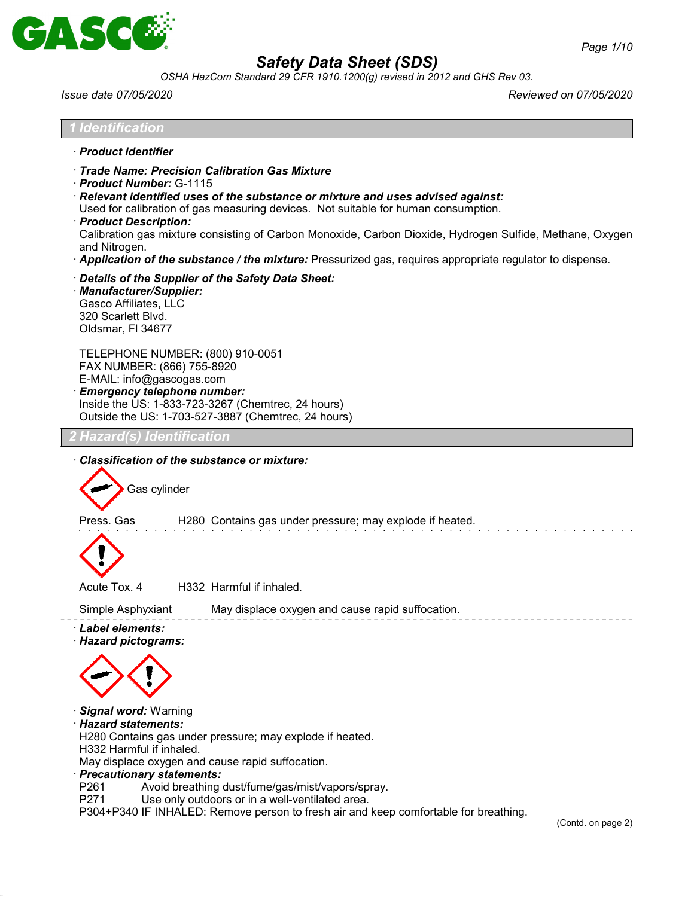

*OSHA HazCom Standard 29 CFR 1910.1200(g) revised in 2012 and GHS Rev 03.*

*Issue date 07/05/2020 Reviewed on 07/05/2020*

(Contd. on page 2)

| <b>Identification</b>                                                                                                                                                                                                                                                                                                                                                                                                                                                                                                         |
|-------------------------------------------------------------------------------------------------------------------------------------------------------------------------------------------------------------------------------------------------------------------------------------------------------------------------------------------------------------------------------------------------------------------------------------------------------------------------------------------------------------------------------|
| · Product Identifier                                                                                                                                                                                                                                                                                                                                                                                                                                                                                                          |
| Trade Name: Precision Calibration Gas Mixture<br>Product Number: G-1115<br>· Relevant identified uses of the substance or mixture and uses advised against:<br>Used for calibration of gas measuring devices. Not suitable for human consumption.<br>· Product Description:<br>Calibration gas mixture consisting of Carbon Monoxide, Carbon Dioxide, Hydrogen Sulfide, Methane, Oxygen<br>and Nitrogen.<br>· <b>Application of the substance / the mixture:</b> Pressurized gas, requires appropriate regulator to dispense. |
| Details of the Supplier of the Safety Data Sheet:<br>· Manufacturer/Supplier:<br>Gasco Affiliates, LLC<br>320 Scarlett Blvd.<br>Oldsmar, FI 34677                                                                                                                                                                                                                                                                                                                                                                             |
| TELEPHONE NUMBER: (800) 910-0051<br>FAX NUMBER: (866) 755-8920<br>E-MAIL: info@gascogas.com<br><b>Emergency telephone number:</b><br>Inside the US: 1-833-723-3267 (Chemtrec, 24 hours)<br>Outside the US: 1-703-527-3887 (Chemtrec, 24 hours)                                                                                                                                                                                                                                                                                |
| Hazard(s) Identification                                                                                                                                                                                                                                                                                                                                                                                                                                                                                                      |
| Classification of the substance or mixture:<br>Gas cylinder                                                                                                                                                                                                                                                                                                                                                                                                                                                                   |
| Press. Gas<br>H280 Contains gas under pressure; may explode if heated.                                                                                                                                                                                                                                                                                                                                                                                                                                                        |
| Acute Tox. 4<br>H332 Harmful if inhaled.                                                                                                                                                                                                                                                                                                                                                                                                                                                                                      |
| Simple Asphyxiant<br>May displace oxygen and cause rapid suffocation.                                                                                                                                                                                                                                                                                                                                                                                                                                                         |
| · Label elements:<br>· Hazard pictograms:                                                                                                                                                                                                                                                                                                                                                                                                                                                                                     |
| Signal word: Warning<br>· Hazard statements:<br>H280 Contains gas under pressure; may explode if heated.<br>H332 Harmful if inhaled.<br>May displace oxygen and cause rapid suffocation.<br>· Precautionary statements:<br>Avoid breathing dust/fume/gas/mist/vapors/spray.<br>P261                                                                                                                                                                                                                                           |

- 
- P271 Use only outdoors or in a well-ventilated area.

P304+P340 IF INHALED: Remove person to fresh air and keep comfortable for breathing.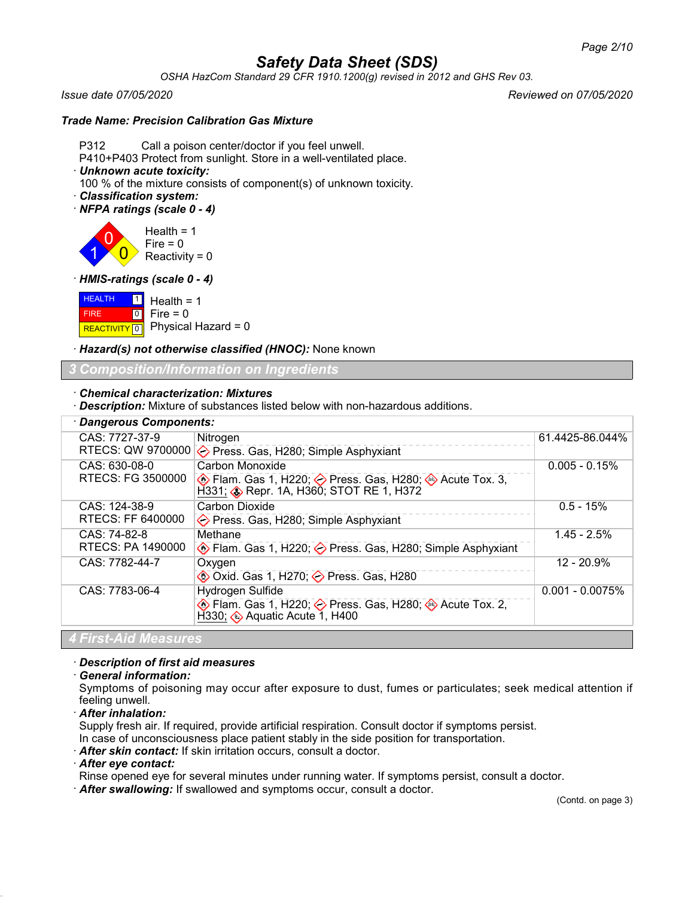*OSHA HazCom Standard 29 CFR 1910.1200(g) revised in 2012 and GHS Rev 03.*

*Issue date 07/05/2020 Reviewed on 07/05/2020*

### *Trade Name: Precision Calibration Gas Mixture*

P312 Call a poison center/doctor if you feel unwell.

P410+P403 Protect from sunlight. Store in a well-ventilated place.

· *Unknown acute toxicity:*

100 % of the mixture consists of component(s) of unknown toxicity.

- · *Classification system:*
- · *NFPA ratings (scale 0 4)*

1 0  $\overline{0}$ Health  $= 1$  $Fire = 0$ Reactivity =  $0$ 

· *HMIS-ratings (scale 0 - 4)*

**HEALTH**  FIRE **REACTIVITY** 0 1  $\boxed{0}$ Health  $= 1$  $Fire = 0$ Physical Hazard = 0

· *Hazard(s) not otherwise classified (HNOC):* None known

### *3 Composition/Information on Ingredients*

#### · *Chemical characterization: Mixtures*

· *Description:* Mixture of substances listed below with non-hazardous additions.

| <b>Dangerous Components:</b> |                                                                                                                              |                   |  |
|------------------------------|------------------------------------------------------------------------------------------------------------------------------|-------------------|--|
| CAS: 7727-37-9               | Nitrogen                                                                                                                     | 61.4425-86.044%   |  |
| RTECS: QW 9700000            | ← Press. Gas, H280; Simple Asphyxiant                                                                                        |                   |  |
| CAS: 630-08-0                | Carbon Monoxide                                                                                                              | $0.005 - 0.15%$   |  |
| RTECS: FG 3500000            |                                                                                                                              |                   |  |
| CAS: 124-38-9                | Carbon Dioxide                                                                                                               | $0.5 - 15%$       |  |
| RTECS: FF 6400000            | $\diamond$ Press. Gas, H280; Simple Asphyxiant                                                                               |                   |  |
| CAS: 74-82-8                 | Methane                                                                                                                      | $1.45 - 2.5%$     |  |
| RTECS: PA 1490000            | Elam. Gas 1, H220; < Press. Gas, H280; Simple Asphyxiant                                                                     |                   |  |
| CAS: 7782-44-7               | Oxygen                                                                                                                       | 12 - 20.9%        |  |
|                              | <b><sup>◆</sup> Oxid. Gas 1, H270; → Press. Gas, H280</b>                                                                    |                   |  |
| CAS: 7783-06-4               | Hydrogen Sulfide                                                                                                             | $0.001 - 0.0075%$ |  |
|                              | $\circledast$ Flam. Gas 1, H220; $\diamondsuit$ Press. Gas, H280; $\circledast$ Acute Tox. 2,<br>H330; Aquatic Acute 1, H400 |                   |  |
| 4 First-Aid Measures         |                                                                                                                              |                   |  |

#### · *Description of first aid measures*

#### · *General information:*

Symptoms of poisoning may occur after exposure to dust, fumes or particulates; seek medical attention if feeling unwell.

· *After inhalation:*

Supply fresh air. If required, provide artificial respiration. Consult doctor if symptoms persist.

- In case of unconsciousness place patient stably in the side position for transportation.
- · *After skin contact:* If skin irritation occurs, consult a doctor.

#### · *After eye contact:*

Rinse opened eye for several minutes under running water. If symptoms persist, consult a doctor.

· *After swallowing:* If swallowed and symptoms occur, consult a doctor.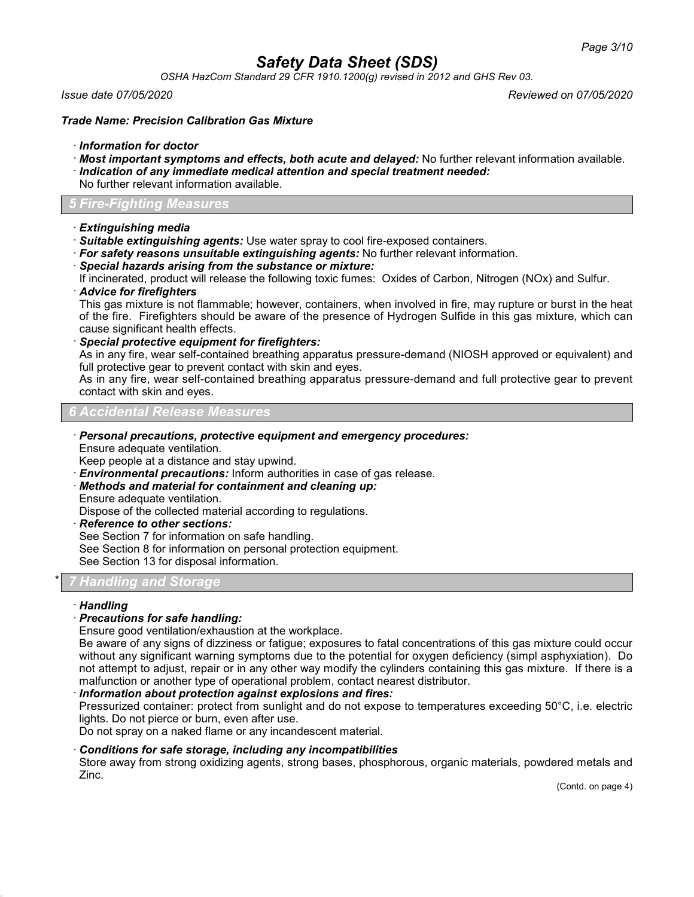*OSHA HazCom Standard 29 CFR 1910.1200(g) revised in 2012 and GHS Rev 03.*

*Issue date 07/05/2020 Reviewed on 07/05/2020*

*Trade Name: Precision Calibration Gas Mixture*

- · *Information for doctor*
- · *Most important symptoms and effects, both acute and delayed:* No further relevant information available.
- · *Indication of any immediate medical attention and special treatment needed:*
- No further relevant information available.

### *5 Fire-Fighting Measures*

- · *Extinguishing media*
- · *Suitable extinguishing agents:* Use water spray to cool fire-exposed containers.
- · *For safety reasons unsuitable extinguishing agents:* No further relevant information.
- · *Special hazards arising from the substance or mixture:*

If incinerated, product will release the following toxic fumes: Oxides of Carbon, Nitrogen (NOx) and Sulfur.

#### · *Advice for firefighters*

This gas mixture is not flammable; however, containers, when involved in fire, may rupture or burst in the heat of the fire. Firefighters should be aware of the presence of Hydrogen Sulfide in this gas mixture, which can cause significant health effects.

· *Special protective equipment for firefighters:*

As in any fire, wear self-contained breathing apparatus pressure-demand (NIOSH approved or equivalent) and full protective gear to prevent contact with skin and eyes.

As in any fire, wear self-contained breathing apparatus pressure-demand and full protective gear to prevent contact with skin and eyes.

### *6 Accidental Release Measures*

· *Personal precautions, protective equipment and emergency procedures:* Ensure adequate ventilation.

Keep people at a distance and stay upwind.

- · *Environmental precautions:* Inform authorities in case of gas release.
- · *Methods and material for containment and cleaning up:*
- Ensure adequate ventilation.

Dispose of the collected material according to regulations.

· *Reference to other sections:*

See Section 7 for information on safe handling.

See Section 8 for information on personal protection equipment.

See Section 13 for disposal information.

## \* *7 Handling and Storage*

#### · *Handling*

### · *Precautions for safe handling:*

Ensure good ventilation/exhaustion at the workplace.

Be aware of any signs of dizziness or fatigue; exposures to fatal concentrations of this gas mixture could occur without any significant warning symptoms due to the potential for oxygen deficiency (simpl asphyxiation). Do not attempt to adjust, repair or in any other way modify the cylinders containing this gas mixture. If there is a malfunction or another type of operational problem, contact nearest distributor.

#### · *Information about protection against explosions and fires:*

Pressurized container: protect from sunlight and do not expose to temperatures exceeding 50°C, i.e. electric lights. Do not pierce or burn, even after use.

Do not spray on a naked flame or any incandescent material.

#### · *Conditions for safe storage, including any incompatibilities*

Store away from strong oxidizing agents, strong bases, phosphorous, organic materials, powdered metals and Zinc.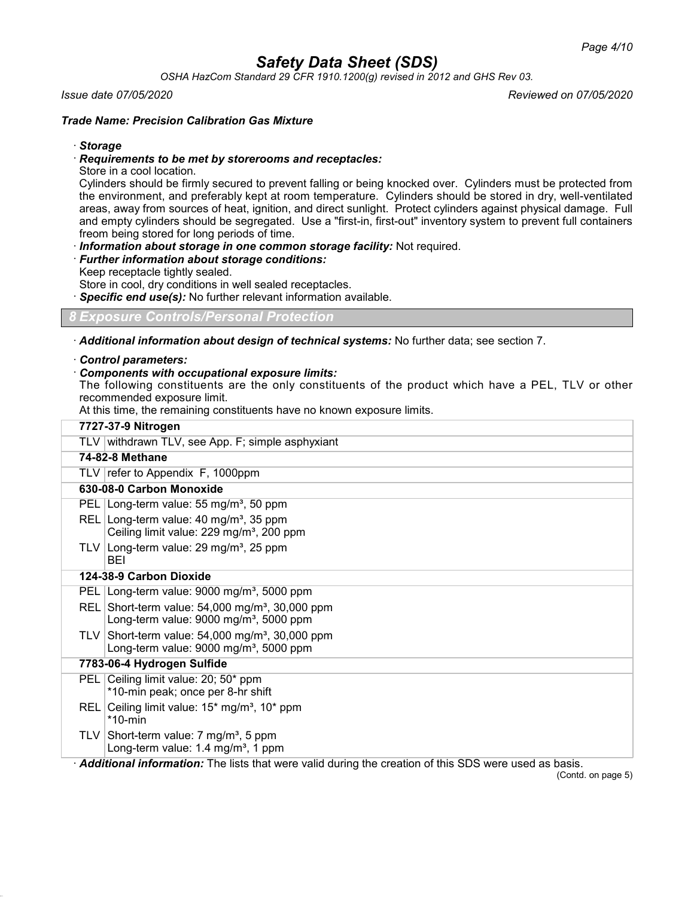*OSHA HazCom Standard 29 CFR 1910.1200(g) revised in 2012 and GHS Rev 03.*

#### *Issue date 07/05/2020 Reviewed on 07/05/2020*

#### *Trade Name: Precision Calibration Gas Mixture*

· *Storage*

#### · *Requirements to be met by storerooms and receptacles:*

Store in a cool location.

Cylinders should be firmly secured to prevent falling or being knocked over. Cylinders must be protected from the environment, and preferably kept at room temperature. Cylinders should be stored in dry, well-ventilated areas, away from sources of heat, ignition, and direct sunlight. Protect cylinders against physical damage. Full and empty cylinders should be segregated. Use a "first-in, first-out" inventory system to prevent full containers freom being stored for long periods of time.

· *Information about storage in one common storage facility:* Not required.

· *Further information about storage conditions:*

Keep receptacle tightly sealed.

Store in cool, dry conditions in well sealed receptacles.

Specific end use(s): No further relevant information available.

## *8 Exposure Controls/Personal Protection*

· *Additional information about design of technical systems:* No further data; see section 7.

#### · *Control parameters:*

### · *Components with occupational exposure limits:*

The following constituents are the only constituents of the product which have a PEL, TLV or other recommended exposure limit.

At this time, the remaining constituents have no known exposure limits.

|       | 7727-37-9 Nitrogen                                                                                                          |
|-------|-----------------------------------------------------------------------------------------------------------------------------|
|       | TLV withdrawn TLV, see App. F; simple asphyxiant                                                                            |
|       | <b>74-82-8 Methane</b>                                                                                                      |
|       | TLV   refer to Appendix F, 1000ppm                                                                                          |
|       | 630-08-0 Carbon Monoxide                                                                                                    |
|       | PEL Long-term value: 55 mg/m <sup>3</sup> , 50 ppm                                                                          |
| REL I | Long-term value: 40 mg/m <sup>3</sup> , 35 ppm<br>Ceiling limit value: 229 mg/m <sup>3</sup> , 200 ppm                      |
|       | TLV Long-term value: $29 \text{ mg/m}^3$ , $25 \text{ ppm}$<br>BEI                                                          |
|       | 124-38-9 Carbon Dioxide                                                                                                     |
|       | PEL Long-term value: 9000 mg/m <sup>3</sup> , 5000 ppm                                                                      |
| REL I | Short-term value: $54,000$ mg/m <sup>3</sup> , 30,000 ppm<br>Long-term value: $9000$ mg/m <sup>3</sup> , 5000 ppm           |
| TLV I | Short-term value: 54,000 mg/m <sup>3</sup> , 30,000 ppm<br>Long-term value: $9000$ mg/m <sup>3</sup> , 5000 ppm             |
|       | 7783-06-4 Hydrogen Sulfide                                                                                                  |
|       | PEL Ceiling limit value: 20; 50* ppm<br>*10-min peak; once per 8-hr shift                                                   |
| REL   | Ceiling limit value: $15*$ mg/m <sup>3</sup> , $10*$ ppm<br>$*10$ -min                                                      |
|       | TLV Short-term value: 7 mg/m <sup>3</sup> , 5 ppm<br>Long-term value: $1.4 \text{ mg/m}^3$ , 1 ppm                          |
|       | Additional information: The lists that were valid during the creation of this SDS were used as basis.<br>(Contd. on page 5) |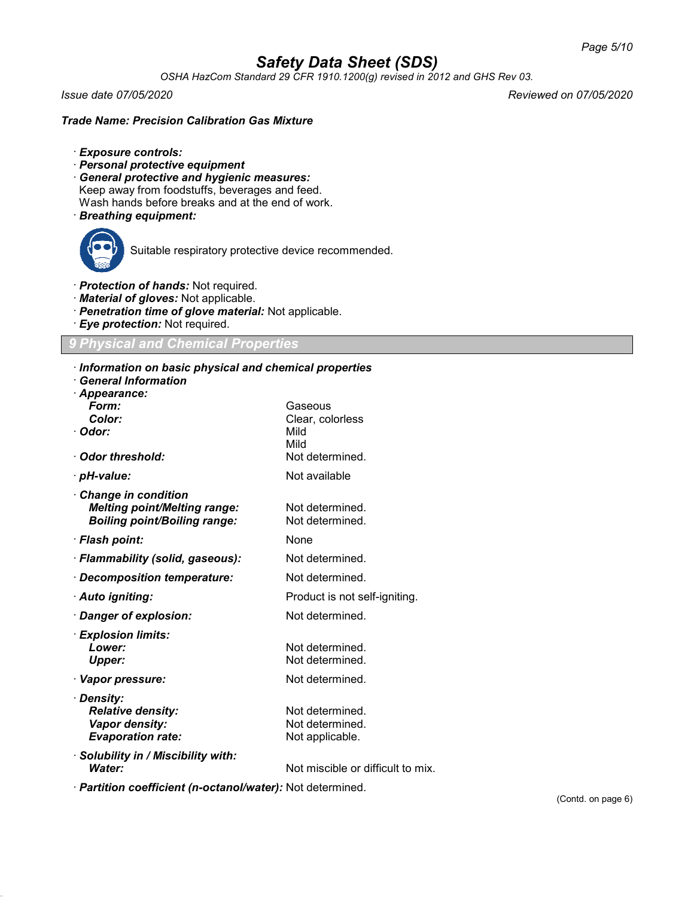*OSHA HazCom Standard 29 CFR 1910.1200(g) revised in 2012 and GHS Rev 03.*

*Issue date 07/05/2020 Reviewed on 07/05/2020*

### *Trade Name: Precision Calibration Gas Mixture*

- · *Exposure controls:*
- · *Personal protective equipment*
- · *General protective and hygienic measures:* Keep away from foodstuffs, beverages and feed. Wash hands before breaks and at the end of work.
- · *Breathing equipment:*



Suitable respiratory protective device recommended.

- · *Protection of hands:* Not required.
- · *Material of gloves:* Not applicable.
- · *Penetration time of glove material:* Not applicable.
- · *Eye protection:* Not required.

### *9 Physical and Chemical Properties*

#### · *Information on basic physical and chemical properties*

| $\cdot$ Information on basic physical and chemical properties<br><b>General Information</b> |                                   |
|---------------------------------------------------------------------------------------------|-----------------------------------|
| · Appearance:<br>Form:                                                                      | Gaseous                           |
| Color:                                                                                      | Clear, colorless                  |
| · Odor:                                                                                     | Mild                              |
|                                                                                             | Mild                              |
| · Odor threshold:                                                                           | Not determined.                   |
| · pH-value:                                                                                 | Not available                     |
| <b>Change in condition</b>                                                                  |                                   |
| <b>Melting point/Melting range:</b>                                                         | Not determined.                   |
| <b>Boiling point/Boiling range:</b>                                                         | Not determined.                   |
| · Flash point:                                                                              | None                              |
| · Flammability (solid, gaseous):                                                            | Not determined.                   |
| · Decomposition temperature:                                                                | Not determined.                   |
| · Auto igniting:                                                                            | Product is not self-igniting.     |
| · Danger of explosion:                                                                      | Not determined.                   |
| · Explosion limits:                                                                         |                                   |
| Lower:                                                                                      | Not determined.                   |
| <b>Upper:</b>                                                                               | Not determined.                   |
| · Vapor pressure:                                                                           | Not determined.                   |
| · Density:                                                                                  |                                   |
| <b>Relative density:</b>                                                                    | Not determined.                   |
| Vapor density:                                                                              | Not determined.                   |
| <b>Evaporation rate:</b>                                                                    | Not applicable.                   |
| · Solubility in / Miscibility with:                                                         |                                   |
| Water:                                                                                      | Not miscible or difficult to mix. |
|                                                                                             |                                   |

· *Partition coefficient (n-octanol/water):* Not determined.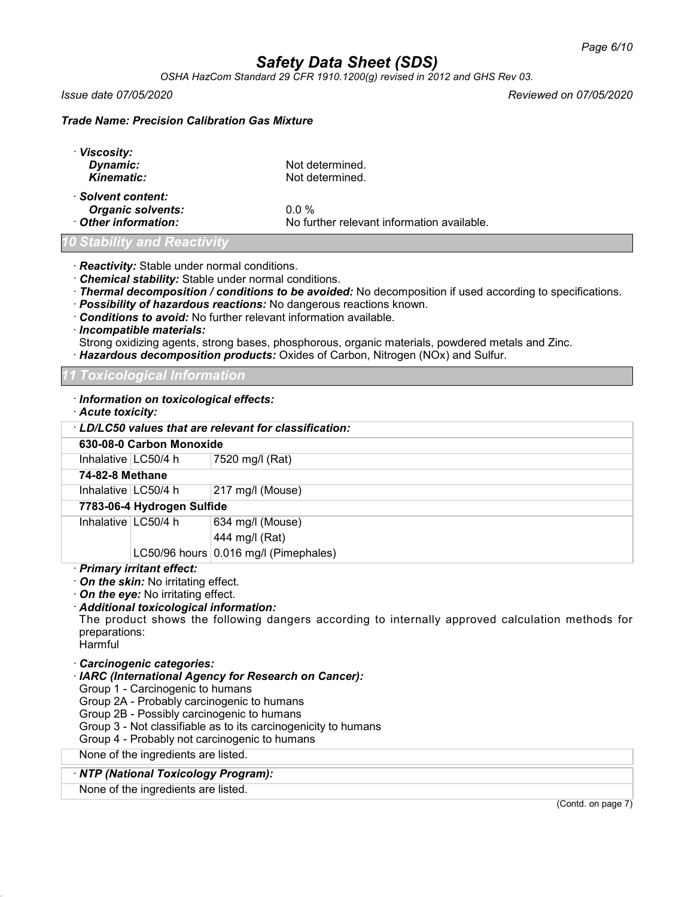*OSHA HazCom Standard 29 CFR 1910.1200(g) revised in 2012 and GHS Rev 03.*

· *Viscosity:*

*Issue date 07/05/2020 Reviewed on 07/05/2020*

### *Trade Name: Precision Calibration Gas Mixture*

| · VISCOSITY:<br>Dynamic:<br><b>Kinematic:</b>                        | Not determined.<br>Not determined.                    |  |
|----------------------------------------------------------------------|-------------------------------------------------------|--|
| · Solvent content:<br><b>Organic solvents:</b><br>Other information: | $0.0\%$<br>No further relevant information available. |  |
| <b>0 Stability and Reactivity</b>                                    |                                                       |  |

· *Reactivity:* Stable under normal conditions.

- · *Chemical stability:* Stable under normal conditions.
- · *Thermal decomposition / conditions to be avoided:* No decomposition if used according to specifications.
- · *Possibility of hazardous reactions:* No dangerous reactions known.
- · *Conditions to avoid:* No further relevant information available.
- · *Incompatible materials:*

Strong oxidizing agents, strong bases, phosphorous, organic materials, powdered metals and Zinc.

· *Hazardous decomposition products:* Oxides of Carbon, Nitrogen (NOx) and Sulfur.

#### *11 Toxicological Information*

· *Information on toxicological effects:*

| · Acute toxicity: |                                                                                                                                                                  |                                                                                                  |
|-------------------|------------------------------------------------------------------------------------------------------------------------------------------------------------------|--------------------------------------------------------------------------------------------------|
|                   |                                                                                                                                                                  | $\cdot$ LD/LC50 values that are relevant for classification:                                     |
|                   | 630-08-0 Carbon Monoxide                                                                                                                                         |                                                                                                  |
|                   | Inhalative $\lfloor$ LC50/4 h                                                                                                                                    | 7520 mg/l (Rat)                                                                                  |
| 74-82-8 Methane   |                                                                                                                                                                  |                                                                                                  |
|                   | Inhalative⊺LC50/4 h_                                                                                                                                             | 217 mg/l (Mouse)                                                                                 |
|                   | 7783-06-4 Hydrogen Sulfide                                                                                                                                       |                                                                                                  |
|                   | Inhalative $LC50/4 h$                                                                                                                                            | 634 mg/l (Mouse)                                                                                 |
|                   |                                                                                                                                                                  | 444 mg/l (Rat)                                                                                   |
|                   |                                                                                                                                                                  | LC50/96 hours $0.016$ mg/l (Pimephales)                                                          |
| preparations:     | · Primary irritant effect:<br>$\cdot$ On the skin: No irritating effect.<br>$\cdot$ On the eye: No irritating effect.<br>· Additional toxicological information: | The product shows the following dangers according to internally approved calculation methods for |

Harmful

#### · *Carcinogenic categories:*

- · *IARC (International Agency for Research on Cancer):*
- Group 1 Carcinogenic to humans
- Group 2A Probably carcinogenic to humans
- Group 2B Possibly carcinogenic to humans
- Group 3 Not classifiable as to its carcinogenicity to humans
- Group 4 Probably not carcinogenic to humans

None of the ingredients are listed.

#### · *NTP (National Toxicology Program):*

None of the ingredients are listed.

(Contd. on page 7)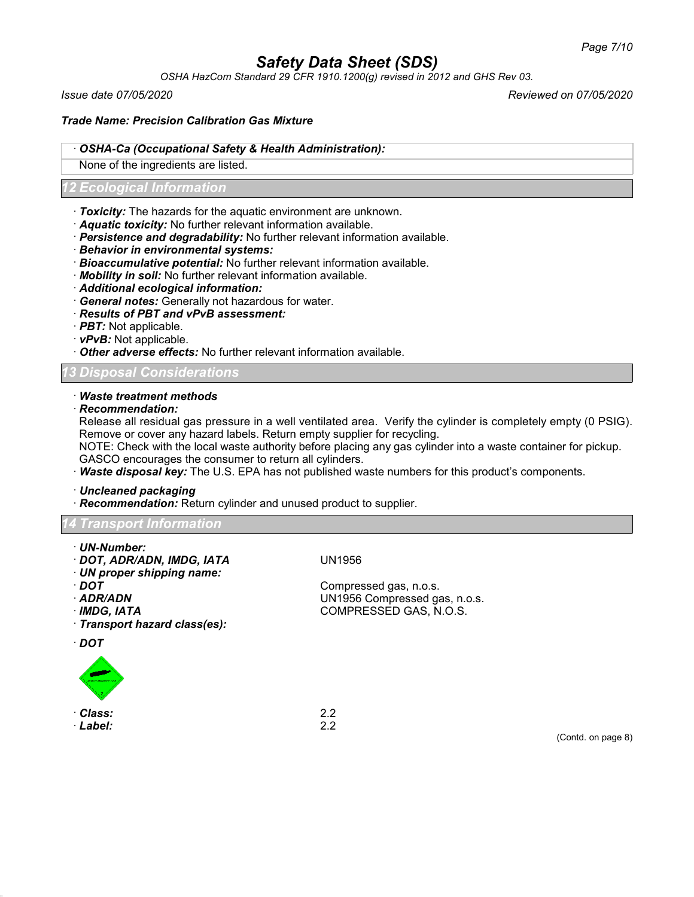*OSHA HazCom Standard 29 CFR 1910.1200(g) revised in 2012 and GHS Rev 03.*

*Issue date 07/05/2020 Reviewed on 07/05/2020*

*Trade Name: Precision Calibration Gas Mixture*

### · *OSHA-Ca (Occupational Safety & Health Administration):*

None of the ingredients are listed.

### *12 Ecological Information*

- · *Toxicity:* The hazards for the aquatic environment are unknown.
- · *Aquatic toxicity:* No further relevant information available.
- · *Persistence and degradability:* No further relevant information available.
- · *Behavior in environmental systems:*
- · *Bioaccumulative potential:* No further relevant information available.
- · *Mobility in soil:* No further relevant information available.
- · *Additional ecological information:*
- · *General notes:* Generally not hazardous for water.
- · *Results of PBT and vPvB assessment:*
- · *PBT:* Not applicable.
- · *vPvB:* Not applicable.
- · *Other adverse effects:* No further relevant information available.

### *13 Disposal Considerations*

- · *Waste treatment methods*
- · *Recommendation:*

Release all residual gas pressure in a well ventilated area. Verify the cylinder is completely empty (0 PSIG). Remove or cover any hazard labels. Return empty supplier for recycling.

NOTE: Check with the local waste authority before placing any gas cylinder into a waste container for pickup. GASCO encourages the consumer to return all cylinders.

· *Waste disposal key:* The U.S. EPA has not published waste numbers for this product's components.

· *Uncleaned packaging*

· *Recommendation:* Return cylinder and unused product to supplier.

## *14 Transport Information*

- · *UN-Number:*
- · *DOT, ADR/ADN, IMDG, IATA* UN1956
- · *UN proper shipping name:*
- 
- 
- 
- · *Transport hazard class(es):*

· *DOT*



· *Class:* 2.2 · *Label:* 2.2

**DOT** Compressed gas, n.o.s.<br>**ADR/ADN** COMPRESSED COMPRESSED COMPRESSED OF SALE COMPRESSED OF SALE COMPRESSED OF SALE COMPRESSED OF SALE COMP · *ADR/ADN* UN1956 Compressed gas, n.o.s. · *IMDG, IATA* COMPRESSED GAS, N.O.S.

(Contd. on page 8)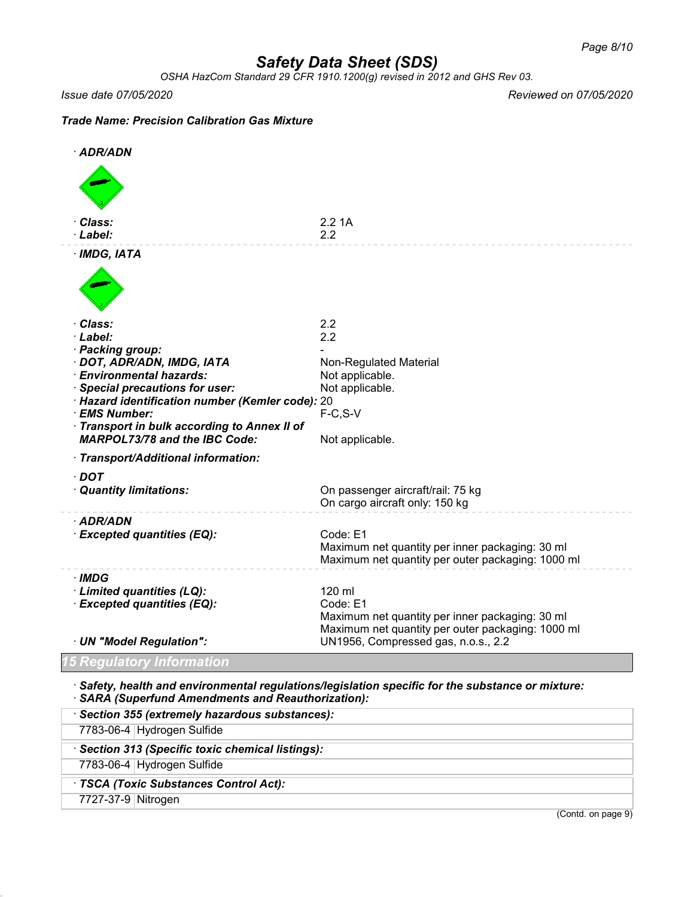*OSHA HazCom Standard 29 CFR 1910.1200(g) revised in 2012 and GHS Rev 03.*

*Issue date 07/05/2020 Reviewed on 07/05/2020*

## *Trade Name: Precision Calibration Gas Mixture*

| · ADR/ADN                                                         |                                                                                                 |
|-------------------------------------------------------------------|-------------------------------------------------------------------------------------------------|
|                                                                   |                                                                                                 |
| Class:<br>· Label:                                                | 2.21A<br>2.2                                                                                    |
| · IMDG, IATA                                                      |                                                                                                 |
|                                                                   |                                                                                                 |
| Class:                                                            | 2.2                                                                                             |
| · Label:<br>· Packing group:                                      | 2.2                                                                                             |
| · DOT, ADR/ADN, IMDG, IATA                                        | <b>Non-Regulated Material</b>                                                                   |
| · Environmental hazards:                                          | Not applicable.                                                                                 |
| <b>Special precautions for user:</b>                              | Not applicable.                                                                                 |
| · Hazard identification number (Kemler code): 20<br>· EMS Number: | $F-C, S-V$                                                                                      |
| Transport in bulk according to Annex II of                        |                                                                                                 |
| <b>MARPOL73/78 and the IBC Code:</b>                              | Not applicable.                                                                                 |
| · Transport/Additional information:                               |                                                                                                 |
| $\cdot$ DOT                                                       |                                                                                                 |
| · Quantity limitations:                                           | On passenger aircraft/rail: 75 kg                                                               |
|                                                                   | On cargo aircraft only: 150 kg                                                                  |
| · ADR/ADN                                                         |                                                                                                 |
| · Excepted quantities (EQ):                                       | Code: E1<br>Maximum net quantity per inner packaging: 30 ml                                     |
|                                                                   | Maximum net quantity per outer packaging: 1000 ml                                               |
| · IMDG                                                            |                                                                                                 |
| · Limited quantities (LQ):                                        | 120 ml                                                                                          |
| · Excepted quantities (EQ):                                       | Code: E1                                                                                        |
|                                                                   | Maximum net quantity per inner packaging: 30 ml                                                 |
| · UN "Model Regulation":                                          | Maximum net quantity per outer packaging: 1000 ml<br>UN1956, Compressed gas, n.o.s., 2.2        |
|                                                                   |                                                                                                 |
| 5 Regulatory Information                                          |                                                                                                 |
|                                                                   | Safety, health and environmental regulations/legislation specific for the substance or mixture: |

· *SARA (Superfund Amendments and Reauthorization):*

|                    | Section 355 (extremely hazardous substances):     |
|--------------------|---------------------------------------------------|
|                    | 7783-06-4 Hydrogen Sulfide                        |
|                    | · Section 313 (Specific toxic chemical listings): |
|                    | 7783-06-4 Hydrogen Sulfide                        |
|                    | · TSCA (Toxic Substances Control Act):            |
| 7727-37-9 Nitrogen |                                                   |
|                    | (Contd. on page 9)                                |
|                    |                                                   |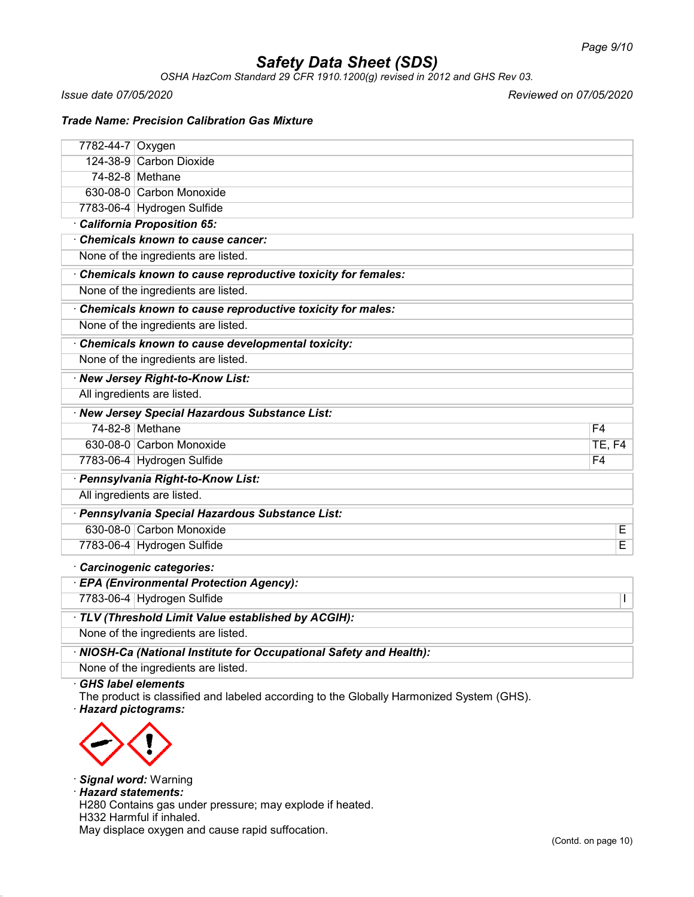*OSHA HazCom Standard 29 CFR 1910.1200(g) revised in 2012 and GHS Rev 03.*

*Issue date 07/05/2020 Reviewed on 07/05/2020*

### *Trade Name: Precision Calibration Gas Mixture*

| 7782-44-7   Oxygen                               |                                                             |               |  |  |
|--------------------------------------------------|-------------------------------------------------------------|---------------|--|--|
|                                                  | 124-38-9 Carbon Dioxide                                     |               |  |  |
|                                                  | 74-82-8 Methane                                             |               |  |  |
|                                                  | 630-08-0 Carbon Monoxide                                    |               |  |  |
|                                                  | 7783-06-4 Hydrogen Sulfide                                  |               |  |  |
|                                                  | California Proposition 65:                                  |               |  |  |
|                                                  | Chemicals known to cause cancer:                            |               |  |  |
|                                                  | None of the ingredients are listed.                         |               |  |  |
|                                                  | Chemicals known to cause reproductive toxicity for females: |               |  |  |
|                                                  | None of the ingredients are listed.                         |               |  |  |
|                                                  | Chemicals known to cause reproductive toxicity for males:   |               |  |  |
|                                                  | None of the ingredients are listed.                         |               |  |  |
| Chemicals known to cause developmental toxicity: |                                                             |               |  |  |
|                                                  | None of the ingredients are listed.                         |               |  |  |
|                                                  | · New Jersey Right-to-Know List:                            |               |  |  |
|                                                  | All ingredients are listed.                                 |               |  |  |
|                                                  | · New Jersey Special Hazardous Substance List:              |               |  |  |
|                                                  | 74-82-8 Methane                                             | F4            |  |  |
|                                                  | 630-08-0 Carbon Monoxide                                    | <b>TE, F4</b> |  |  |
|                                                  | 7783-06-4 Hydrogen Sulfide                                  | F4            |  |  |
|                                                  | · Pennsylvania Right-to-Know List:                          |               |  |  |
|                                                  | All ingredients are listed.                                 |               |  |  |
|                                                  | · Pennsylvania Special Hazardous Substance List:            |               |  |  |
|                                                  | 630-08-0 Carbon Monoxide                                    | E             |  |  |
|                                                  | 7783-06-4 Hydrogen Sulfide                                  | E             |  |  |
|                                                  | Carcinogenic categories:                                    |               |  |  |
| <b>EPA (Environmental Protection Agency):</b>    |                                                             |               |  |  |

7783-06-4 Hydrogen Sulfide I

· *TLV (Threshold Limit Value established by ACGIH):*

None of the ingredients are listed.

· *NIOSH-Ca (National Institute for Occupational Safety and Health):*

None of the ingredients are listed.

· *GHS label elements*

The product is classified and labeled according to the Globally Harmonized System (GHS). · *Hazard pictograms:*



· *Signal word:* Warning

· *Hazard statements:*

H280 Contains gas under pressure; may explode if heated. H332 Harmful if inhaled.

May displace oxygen and cause rapid suffocation.